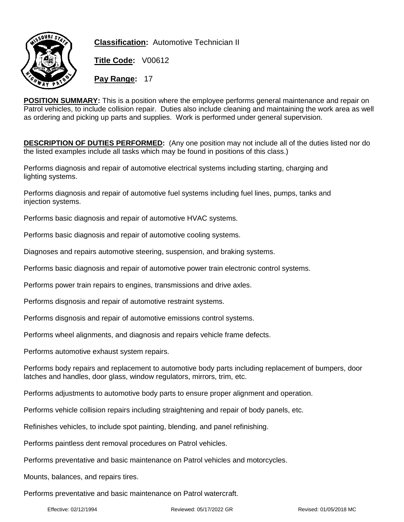

**Classification:** Automotive Technician II

**Title Code:** V00612

**Pay Range:** 17

**POSITION SUMMARY:** This is a position where the employee performs general maintenance and repair on Patrol vehicles, to include collision repair. Duties also include cleaning and maintaining the work area as well as ordering and picking up parts and supplies. Work is performed under general supervision.

**DESCRIPTION OF DUTIES PERFORMED:** (Any one position may not include all of the duties listed nor do the listed examples include all tasks which may be found in positions of this class.)

Performs diagnosis and repair of automotive electrical systems including starting, charging and lighting systems.

Performs diagnosis and repair of automotive fuel systems including fuel lines, pumps, tanks and injection systems.

Performs basic diagnosis and repair of automotive HVAC systems.

Performs basic diagnosis and repair of automotive cooling systems.

Diagnoses and repairs automotive steering, suspension, and braking systems.

Performs basic diagnosis and repair of automotive power train electronic control systems.

Performs power train repairs to engines, transmissions and drive axles.

Performs disgnosis and repair of automotive restraint systems.

Performs disgnosis and repair of automotive emissions control systems.

Performs wheel alignments, and diagnosis and repairs vehicle frame defects.

Performs automotive exhaust system repairs.

Performs body repairs and replacement to automotive body parts including replacement of bumpers, door latches and handles, door glass, window regulators, mirrors, trim, etc.

Performs adjustments to automotive body parts to ensure proper alignment and operation.

Performs vehicle collision repairs including straightening and repair of body panels, etc.

Refinishes vehicles, to include spot painting, blending, and panel refinishing.

Performs paintless dent removal procedures on Patrol vehicles.

Performs preventative and basic maintenance on Patrol vehicles and motorcycles.

Mounts, balances, and repairs tires.

Performs preventative and basic maintenance on Patrol watercraft.

Effective: 02/12/1994 Reviewed: 05/17/2022 GR Revised: 01/05/2018 MC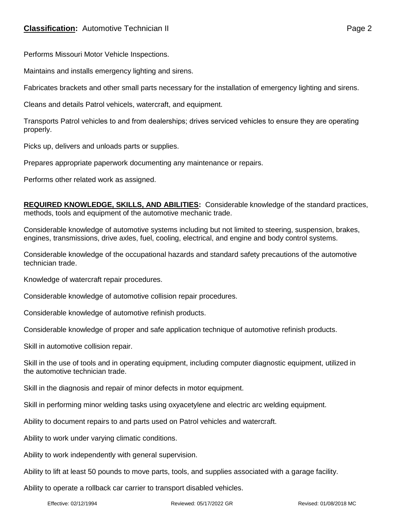Performs Missouri Motor Vehicle Inspections.

Maintains and installs emergency lighting and sirens.

Fabricates brackets and other small parts necessary for the installation of emergency lighting and sirens.

Cleans and details Patrol vehicels, watercraft, and equipment.

Transports Patrol vehicles to and from dealerships; drives serviced vehicles to ensure they are operating properly.

Picks up, delivers and unloads parts or supplies.

Prepares appropriate paperwork documenting any maintenance or repairs.

Performs other related work as assigned.

**REQUIRED KNOWLEDGE, SKILLS, AND ABILITIES:** Considerable knowledge of the standard practices, methods, tools and equipment of the automotive mechanic trade.

Considerable knowledge of automotive systems including but not limited to steering, suspension, brakes, engines, transmissions, drive axles, fuel, cooling, electrical, and engine and body control systems.

Considerable knowledge of the occupational hazards and standard safety precautions of the automotive technician trade.

Knowledge of watercraft repair procedures.

Considerable knowledge of automotive collision repair procedures.

Considerable knowledge of automotive refinish products.

Considerable knowledge of proper and safe application technique of automotive refinish products.

Skill in automotive collision repair.

Skill in the use of tools and in operating equipment, including computer diagnostic equipment, utilized in the automotive technician trade.

Skill in the diagnosis and repair of minor defects in motor equipment.

Skill in performing minor welding tasks using oxyacetylene and electric arc welding equipment.

Ability to document repairs to and parts used on Patrol vehicles and watercraft.

Ability to work under varying climatic conditions.

Ability to work independently with general supervision.

Ability to lift at least 50 pounds to move parts, tools, and supplies associated with a garage facility.

Ability to operate a rollback car carrier to transport disabled vehicles.